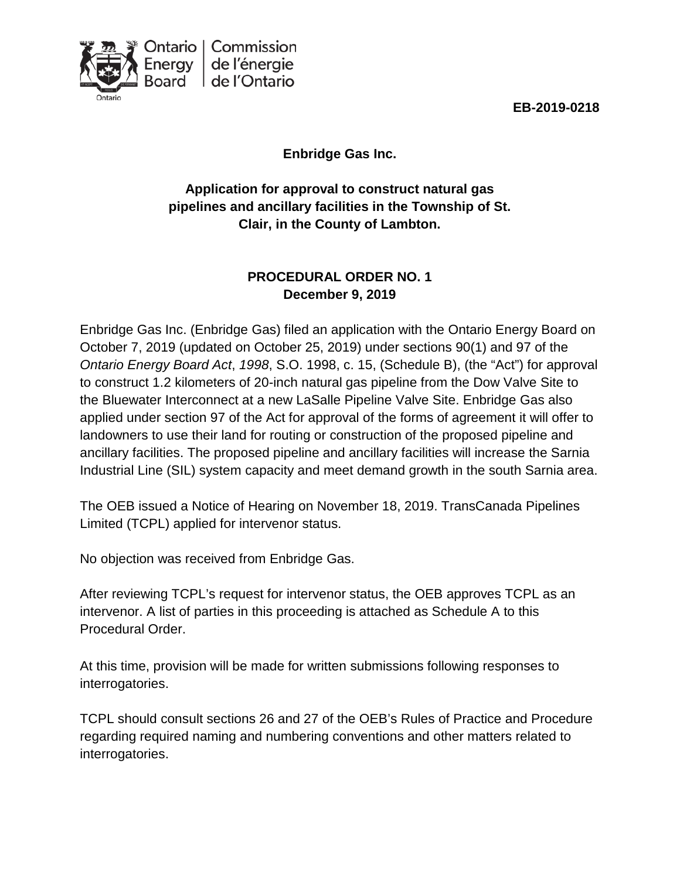



**Enbridge Gas Inc.**

**Application for approval to construct natural gas pipelines and ancillary facilities in the Township of St. Clair, in the County of Lambton.**

# **PROCEDURAL ORDER NO. 1 December 9, 2019**

Enbridge Gas Inc. (Enbridge Gas) filed an application with the Ontario Energy Board on October 7, 2019 (updated on October 25, 2019) under sections 90(1) and 97 of the *Ontario Energy Board Act*, *1998*, S.O. 1998, c. 15, (Schedule B), (the "Act") for approval to construct 1.2 kilometers of 20-inch natural gas pipeline from the Dow Valve Site to the Bluewater Interconnect at a new LaSalle Pipeline Valve Site. Enbridge Gas also applied under section 97 of the Act for approval of the forms of agreement it will offer to landowners to use their land for routing or construction of the proposed pipeline and ancillary facilities. The proposed pipeline and ancillary facilities will increase the Sarnia Industrial Line (SIL) system capacity and meet demand growth in the south Sarnia area.

The OEB issued a Notice of Hearing on November 18, 2019. TransCanada Pipelines Limited (TCPL) applied for intervenor status.

No objection was received from Enbridge Gas.

After reviewing TCPL's request for intervenor status, the OEB approves TCPL as an intervenor. A list of parties in this proceeding is attached as Schedule A to this Procedural Order.

At this time, provision will be made for written submissions following responses to interrogatories.

TCPL should consult sections 26 and 27 of the OEB's Rules of Practice and Procedure regarding required naming and numbering conventions and other matters related to interrogatories.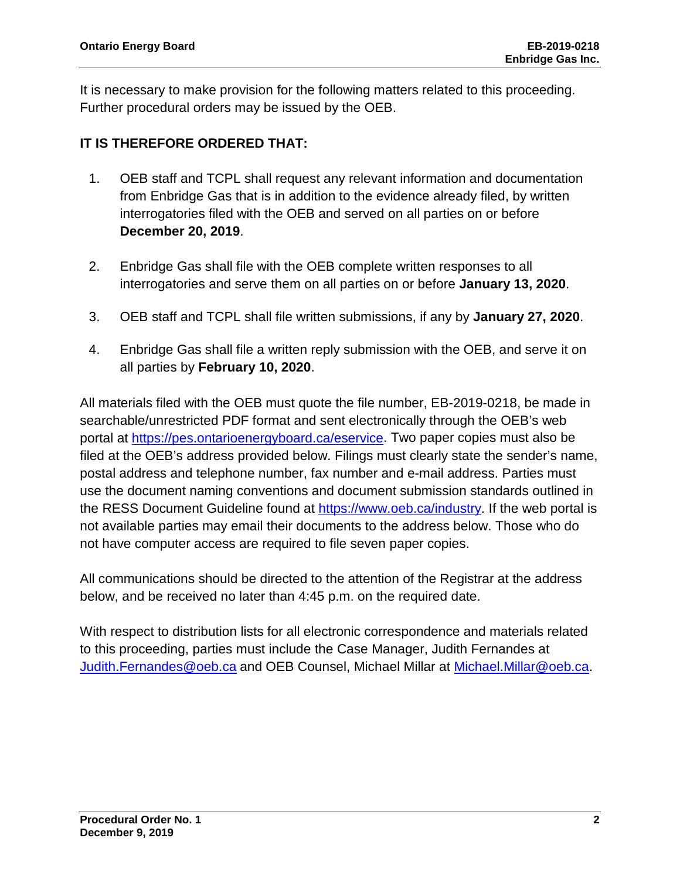It is necessary to make provision for the following matters related to this proceeding. Further procedural orders may be issued by the OEB.

# **IT IS THEREFORE ORDERED THAT:**

- 1. OEB staff and TCPL shall request any relevant information and documentation from Enbridge Gas that is in addition to the evidence already filed, by written interrogatories filed with the OEB and served on all parties on or before **December 20, 2019**.
- 2. Enbridge Gas shall file with the OEB complete written responses to all interrogatories and serve them on all parties on or before **January 13, 2020**.
- 3. OEB staff and TCPL shall file written submissions, if any by **January 27, 2020**.
- 4. Enbridge Gas shall file a written reply submission with the OEB, and serve it on all parties by **February 10, 2020**.

All materials filed with the OEB must quote the file number, EB-2019-0218, be made in searchable/unrestricted PDF format and sent electronically through the OEB's web portal at [https://pes.ontarioenergyboard.ca/eservice.](https://pes.ontarioenergyboard.ca/eservice) Two paper copies must also be filed at the OEB's address provided below. Filings must clearly state the sender's name, postal address and telephone number, fax number and e-mail address. Parties must use the document naming conventions and document submission standards outlined in the RESS Document Guideline found at [https://www.oeb.ca/industry.](https://www.oeb.ca/industry) If the web portal is not available parties may email their documents to the address below. Those who do not have computer access are required to file seven paper copies.

All communications should be directed to the attention of the Registrar at the address below, and be received no later than 4:45 p.m. on the required date.

With respect to distribution lists for all electronic correspondence and materials related to this proceeding, parties must include the Case Manager, Judith Fernandes at [Judith.Fernandes@oeb.ca](mailto:Judith.Fernandes@oeb.ca) and OEB Counsel, Michael Millar at [Michael.Millar@oeb.ca.](mailto:Michael.Millar@oeb.ca)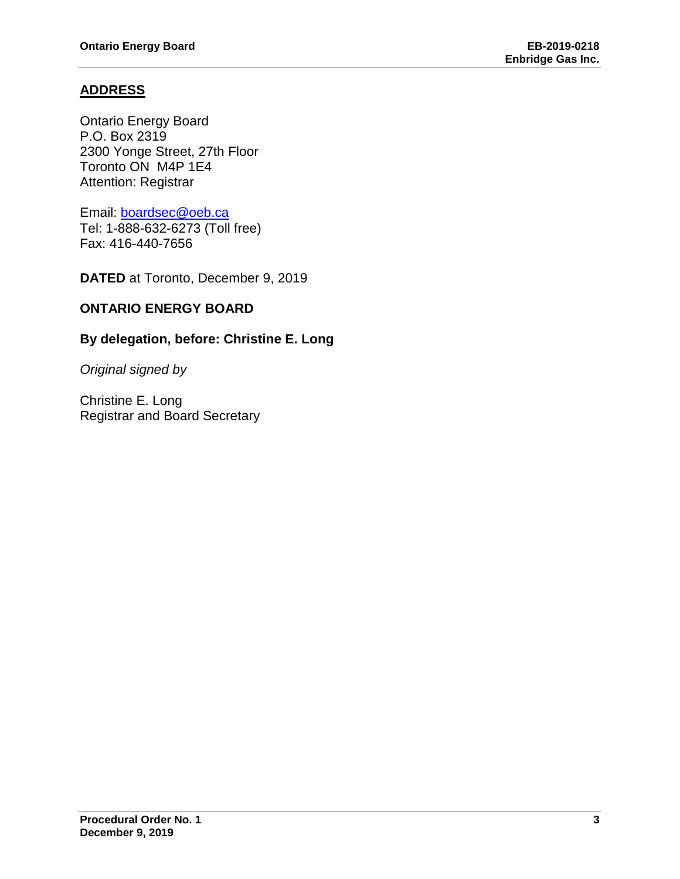## **ADDRESS**

Ontario Energy Board P.O. Box 2319 2300 Yonge Street, 27th Floor Toronto ON M4P 1E4 Attention: Registrar

Email: [boardsec@oeb.ca](mailto:boardsec@oeb.ca)

Tel: 1-888-632-6273 (Toll free) Fax: 416-440-7656

**DATED** at Toronto, December 9, 2019

## **ONTARIO ENERGY BOARD**

## **By delegation, before: Christine E. Long**

*Original signed by*

Christine E. Long Registrar and Board Secretary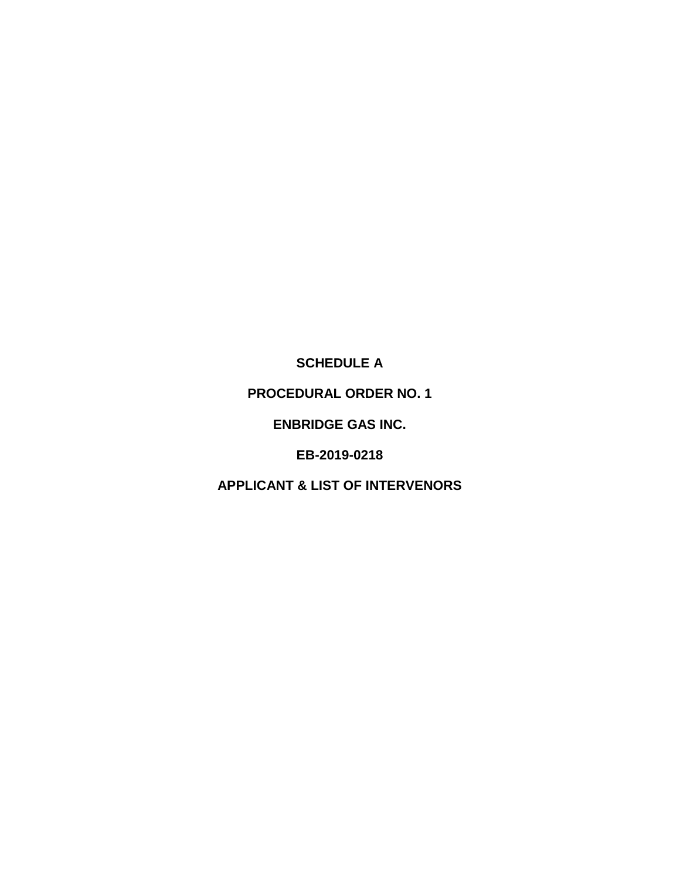**SCHEDULE A**

**PROCEDURAL ORDER NO. 1**

**ENBRIDGE GAS INC.**

**EB-2019-0218**

**APPLICANT & LIST OF INTERVENORS**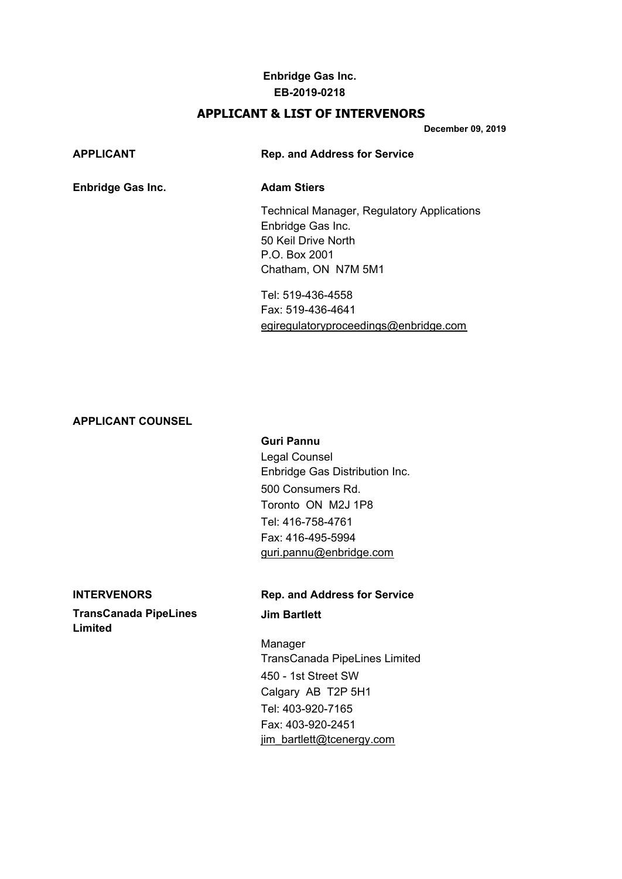## **Enbridge Gas Inc. EB-2019-0218**

## **APPLICANT & LIST OF INTERVENORS**

**December 09, 2019**

## **APPLICANT Rep. and Address for Service**

## **Enbridge Gas Inc. Adam Stiers**

Technical Manager, Regulatory Applications Enbridge Gas Inc. 50 Keil Drive North P.O. Box 2001 Chatham, ON N7M 5M1

Tel: 519-436-4558 Fax: 519-436-4641 [egiregulatoryproceedings@enbridge.com](mailto:egiregulatoryproceedings@enbridge.com)

## **APPLICANT COUNSEL**

### **Guri Pannu**

Legal Counsel Enbridge Gas Distribution Inc. 500 Consumers Rd. Toronto ON M2J 1P8 Tel: 416-758-4761 Fax: 416-495-5994 [guri.pannu@enbridge.com](mailto:guri.pannu@enbridge.com)

**TransCanada PipeLines Jim Bartlett Limited**

### **INTERVENORS Rep. and Address for Service**

Manager TransCanada PipeLines Limited 450 - 1st Street SW Calgary AB T2P 5H1 Tel: 403-920-7165 Fax: 403-920-2451 [jim\\_bartlett@tcenergy.com](mailto:jim_bartlett@tcenergy.com)